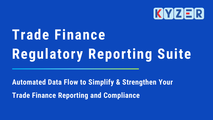# Trade Finance Regulatory Reporting Suite

Automated Data Flow to Simplify & Strengthen Your Trade Finance Reporting and Compliance

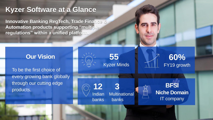**55** Kyzer Minds

### **Kyzer Software at a Glance**

**Innovative Banking RegTech, Trade Finance & Automation products supporting "multiple regulations" within a unified platform.**

### **BFSI Niche Domain** IT company

**12 3**

Indian Multinational banks banks





To be the first choice of every growing bank globally through our cutting edge products.



### **Our Vision**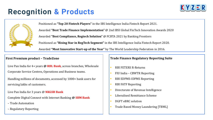Positioned as **"Top 20 Fintech Players"** in the IBS Intelligence India Fintech Report 2021. Awarded **"Best Trade Finance Implementation"** @ 2nd IBSI Global FinTech Innovation Awards 2020 Awarded **"Best Compliance, Regtech Solution"** @ FCBTA 2021 by Banking Frontiers Positioned as **"Rising Star in RegTech Segment"** in the IBS Intelligence India Fintech Report 2020. Awarded **"Most Innovative Start-up of the Year"** by The World Leadership Federation in 2016.

#### **First Premium product – TradeZone**

Live Pan India for 4+ years **@ RBL Bank**, across branches, Wholesale Corporate Service Centres, Operations and Business teams.

Handling millions of documents, accessed by 1000+ bank users for servicing lakhs of customers.

Live Pan India for 3 years @ **NKGSB Bank** 

Complete Digital Connect with Internet Banking **@ SBM Bank**

- Trade Automation
- Regulatory Reporting

#### **Trade Finance Regulatory Reporting Suite**

- **RBI FETERS R-Returns**
- FIU India CBWTR Reporting
- RBI EDPMS-IDPMS Reporting
- **RBI FATF Reporting**
- Directorate of Revenue Intelligence
- **Liberalised Remittance Scheme**
- DGFT eBRC solution
- Trade Based Money Laundering [TBML]



- 
- 
- 
- 
- 

## **Recognition & Products**

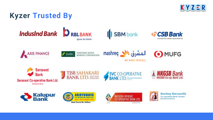### **Kyzer Trusted By**









SUMITOMO MITSUI<br>BANKING CORPORATION



























**Bombay Mercantile** Co-operative Bank Limited (Scheduled Bank)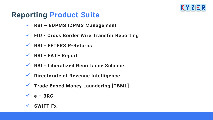### **Reporting Product Suite**

- ✓ **RBI – EDPMS IDPMS Management**
- ✓ **FIU - Cross Border Wire Transfer Reporting**
- ✓ **RBI - FETERS R-Returns**
- ✓ **RBI - FATF Report**
- ✓ **RBI - Liberalized Remittance Scheme**
- ✓ **Directorate of Revenue Intelligence**
- ✓ **Trade Based Money Laundering [TBML]**
- ✓ **e – BRC**
- ✓ **SWIFT Fx**

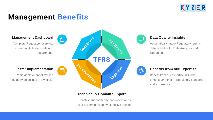Automatically make Regulatory returns data available for Data Analytics and Reporting.



#### **Data Quality Insights**

Benefit from our expertise in Trade Finance and Indian Regulatory standards and experience.

### **Benefits from our Expertise**

Complete Regulatory overview across multiple data sets and departments



#### **Management Dashboard**

Rapid deployment of revised regulatory guidelines at low costs



#### **Faster Implementation**

### **Management Benefits**

**TFRS**

Data Quality

EXTREMESE

Dasylpoata

iblementation

Proactive support team that understands your system backed by extensive training.





#### **Technical & Domain Support**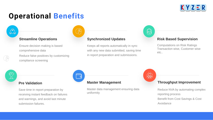#### **Streamline Operations**

Ensure decision making is based comprehensive data Reduce false positives by customizing compliance screening

#### **Master Management**

Master data management ensuring data uniformity





#### **Pre Validation**

Save time in report preparation by receiving instant feedback on failures and warnings, and avoid last minute submission failures.



#### **Synchronized Updates**

Keeps all reports automatically in sync with any new data submitted, saving time in report preparation and submissions.



## **Operational Benefits**

### /马  $Q-Q$

#### **Throughput Improvement**

Reduce NVA by automating complex reporting process Benefit from Cost Savings & Cost Avoidance

#### **Risk Based Supervision**

Computations on Risk Ratings Transaction wise, Customer wise etc..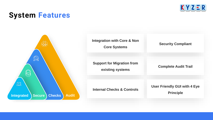### **System Features**



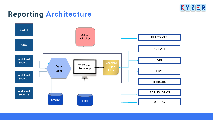### **Reporting Architecture**







RBI FATF

DRI

LRS

R-Returns

EDPMS IDPMS

e - BRC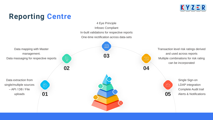Single Sign-on LDAP integration Complete Audit trail Alerts & Notifications





4 Eye Principle

Infosec Compliant

In-built validations for respective reports

One-time rectification across data-sets

## **Reporting Centre**